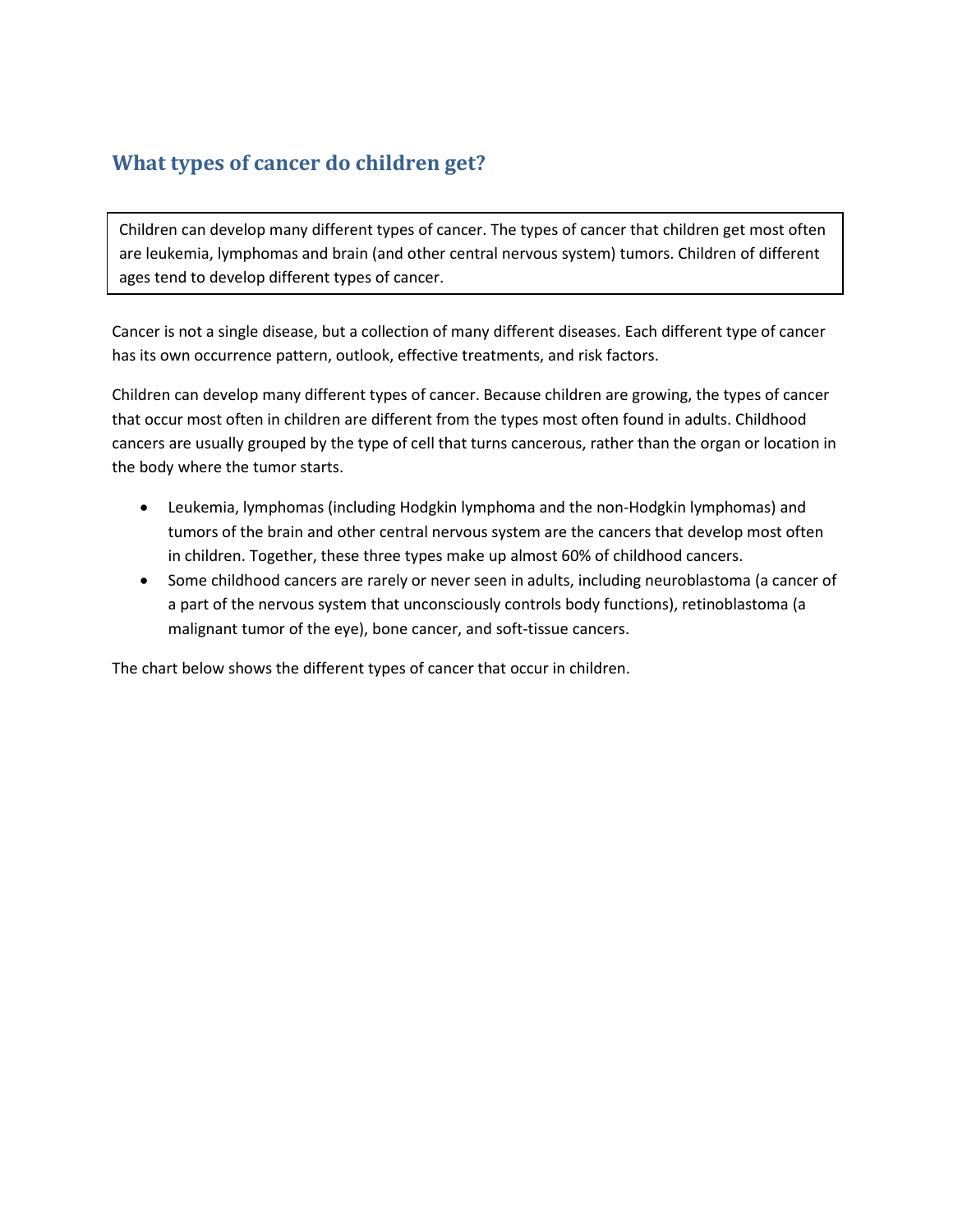## **What types of cancer do children get?**

Children can develop many different types of cancer. The types of cancer that children get most often are leukemia, lymphomas and brain (and other central nervous system) tumors. Children of different ages tend to develop different types of cancer.

Cancer is not a single disease, but a collection of many different diseases. Each different type of cancer has its own occurrence pattern, outlook, effective treatments, and risk factors.

Children can develop many different types of cancer. Because children are growing, the types of cancer that occur most often in children are different from the types most often found in adults. Childhood cancers are usually grouped by the type of cell that turns cancerous, rather than the organ or location in the body where the tumor starts.

- Leukemia, lymphomas (including Hodgkin lymphoma and the non-Hodgkin lymphomas) and tumors of the brain and other central nervous system are the cancers that develop most often in children. Together, these three types make up almost 60% of childhood cancers.
- Some childhood cancers are rarely or never seen in adults, including neuroblastoma (a cancer of a part of the nervous system that unconsciously controls body functions), retinoblastoma (a malignant tumor of the eye), bone cancer, and soft-tissue cancers.

The chart below shows the different types of cancer that occur in children.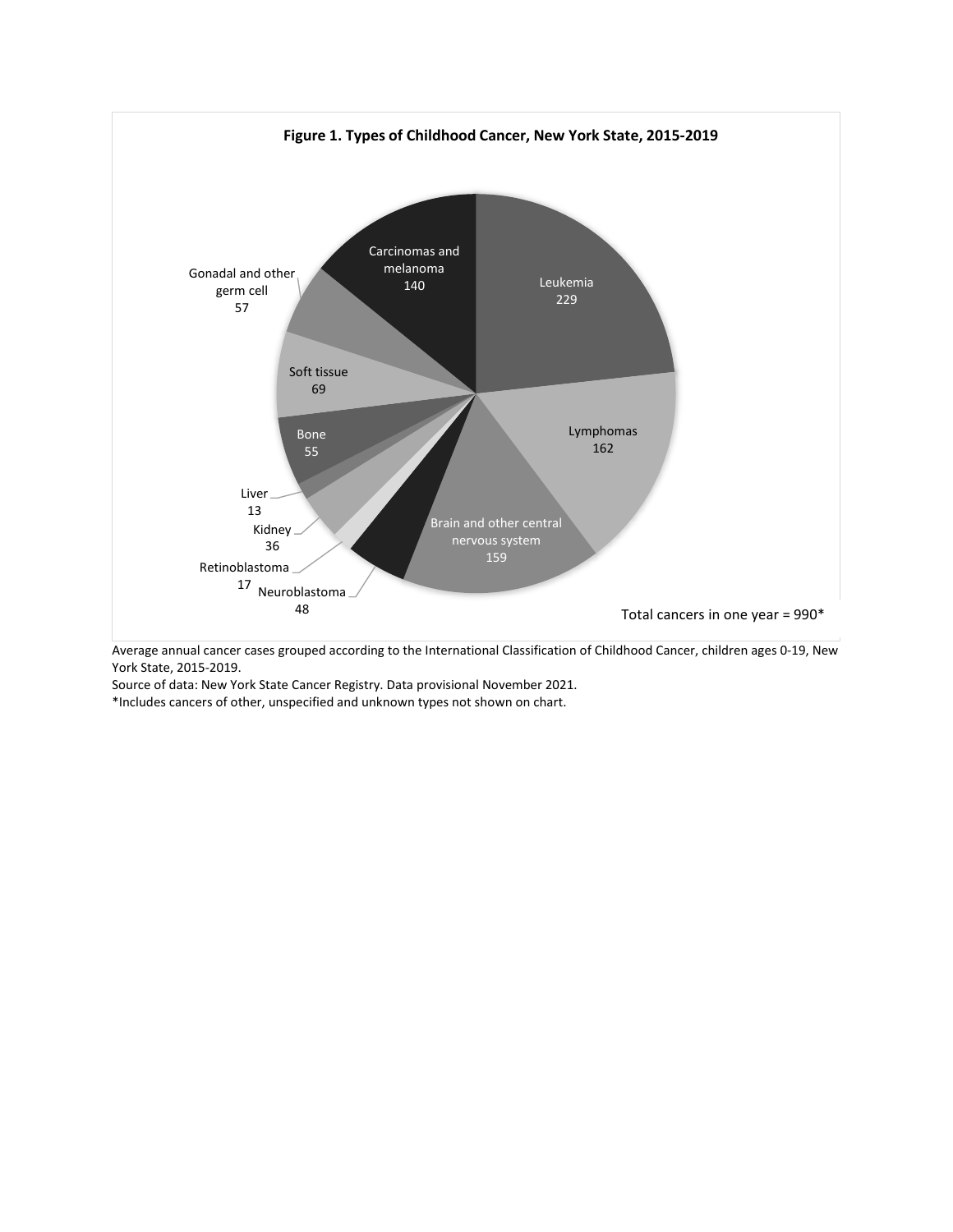

Average annual cancer cases grouped according to the International Classification of Childhood Cancer, children ages 0-19, New York State, 2015-2019.

Source of data: New York State Cancer Registry. Data provisional November 2021.

\*Includes cancers of other, unspecified and unknown types not shown on chart.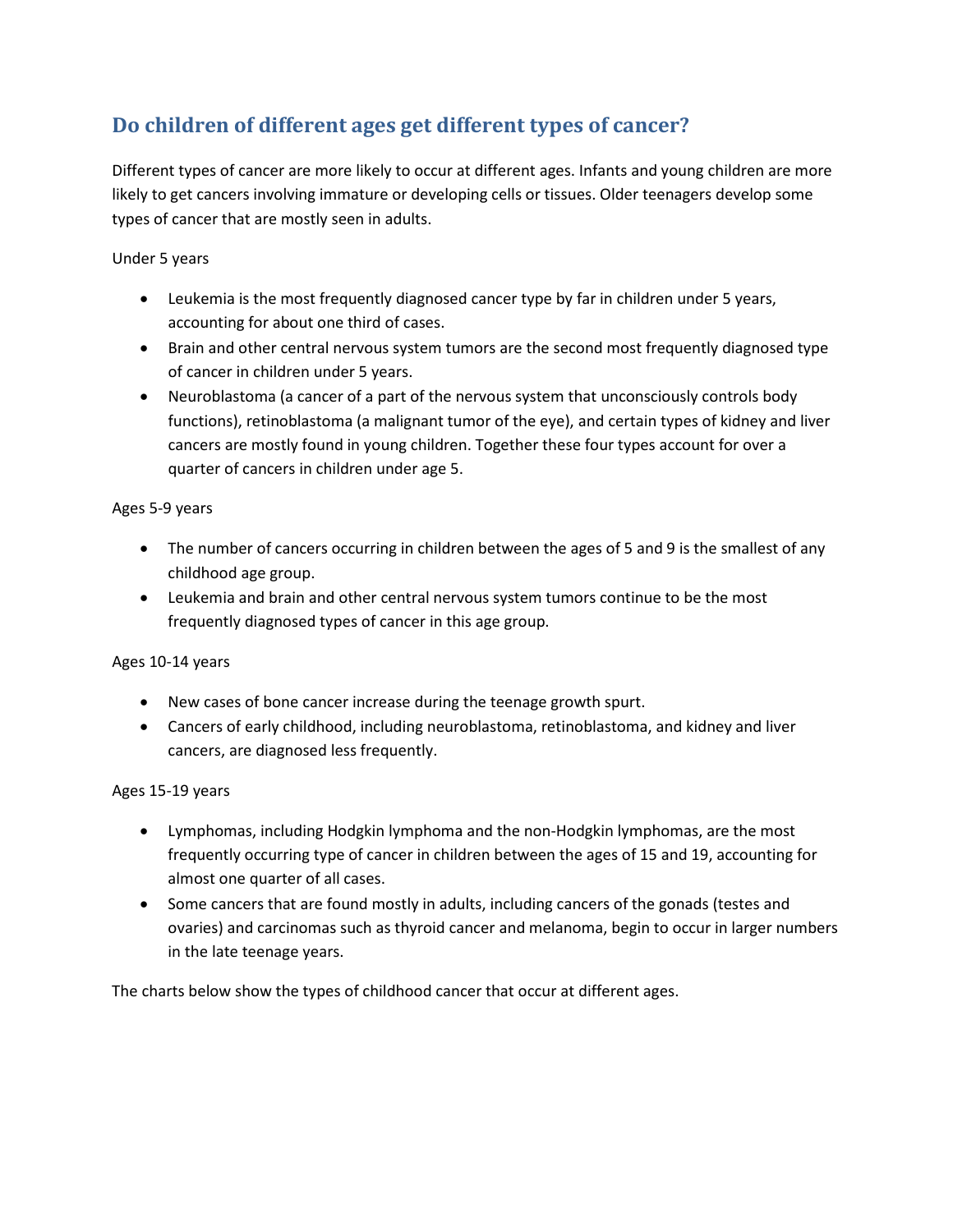# **Do children of different ages get different types of cancer?**

Different types of cancer are more likely to occur at different ages. Infants and young children are more likely to get cancers involving immature or developing cells or tissues. Older teenagers develop some types of cancer that are mostly seen in adults.

#### Under 5 years

- Leukemia is the most frequently diagnosed cancer type by far in children under 5 years, accounting for about one third of cases.
- Brain and other central nervous system tumors are the second most frequently diagnosed type of cancer in children under 5 years.
- Neuroblastoma (a cancer of a part of the nervous system that unconsciously controls body functions), retinoblastoma (a malignant tumor of the eye), and certain types of kidney and liver cancers are mostly found in young children. Together these four types account for over a quarter of cancers in children under age 5.

#### Ages 5-9 years

- The number of cancers occurring in children between the ages of 5 and 9 is the smallest of any childhood age group.
- Leukemia and brain and other central nervous system tumors continue to be the most frequently diagnosed types of cancer in this age group.

### Ages 10-14 years

- New cases of bone cancer increase during the teenage growth spurt.
- Cancers of early childhood, including neuroblastoma, retinoblastoma, and kidney and liver cancers, are diagnosed less frequently.

#### Ages 15-19 years

- Lymphomas, including Hodgkin lymphoma and the non-Hodgkin lymphomas, are the most frequently occurring type of cancer in children between the ages of 15 and 19, accounting for almost one quarter of all cases.
- Some cancers that are found mostly in adults, including cancers of the gonads (testes and ovaries) and carcinomas such as thyroid cancer and melanoma, begin to occur in larger numbers in the late teenage years.

The charts below show the types of childhood cancer that occur at different ages.